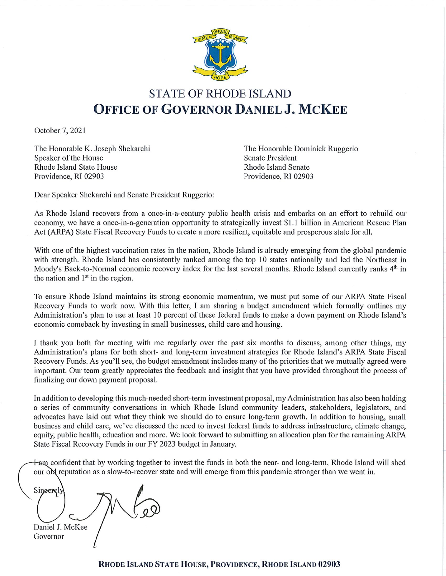

# **STATE OF RHODE ISLAND OFFICE OF GOVERNOR DANIEL J. MCKEE**

October 7, 2021

The Honorable K. Joseph Shekarchi Speaker of the House **Rhode Island State House** Providence, RI 02903

The Honorable Dominick Ruggerio **Senate President Rhode Island Senate** Providence, RI 02903

Dear Speaker Shekarchi and Senate President Ruggerio:

As Rhode Island recovers from a once-in-a-century public health crisis and embarks on an effort to rebuild our economy, we have a once-in-a-generation opportunity to strategically invest \$1.1 billion in American Rescue Plan Act (ARPA) State Fiscal Recovery Funds to create a more resilient, equitable and prosperous state for all.

With one of the highest vaccination rates in the nation, Rhode Island is already emerging from the global pandemic with strength. Rhode Island has consistently ranked among the top 10 states nationally and led the Northeast in Moody's Back-to-Normal economic recovery index for the last several months. Rhode Island currently ranks 4<sup>th</sup> in the nation and  $1<sup>st</sup>$  in the region.

To ensure Rhode Island maintains its strong economic momentum, we must put some of our ARPA State Fiscal Recovery Funds to work now. With this letter, I am sharing a budget amendment which formally outlines my Administration's plan to use at least 10 percent of these federal funds to make a down payment on Rhode Island's economic comeback by investing in small businesses, child care and housing.

I thank you both for meeting with me regularly over the past six months to discuss, among other things, my Administration's plans for both short- and long-term investment strategies for Rhode Island's ARPA State Fiscal Recovery Funds. As you'll see, the budget amendment includes many of the priorities that we mutually agreed were important. Our team greatly appreciates the feedback and insight that you have provided throughout the process of finalizing our down payment proposal.

In addition to developing this much-needed short-term investment proposal, my Administration has also been holding a series of community conversations in which Rhode Island community leaders, stakeholders, legislators, and advocates have laid out what they think we should do to ensure long-term growth. In addition to housing, small business and child care, we've discussed the need to invest federal funds to address infrastructure, climate change, equity, public health, education and more. We look forward to submitting an allocation plan for the remaining ARPA State Fiscal Recovery Funds in our FY 2023 budget in January.

**Ham** confident that by working together to invest the funds in both the near- and long-term, Rhode Island will shed our one reputation as a slow-to-recover state and will emerge from this pandemic stronger than we went in.

Sineerely Daniel J. McKee

Governor

RHODE ISLAND STATE HOUSE, PROVIDENCE, RHODE ISLAND 02903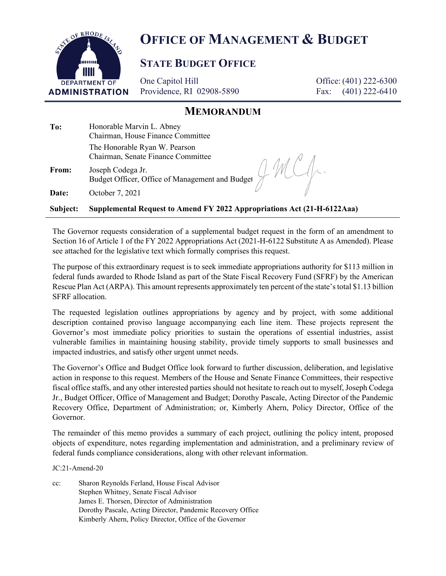

# **OFFICE OF MANAGEMENT & BUDGET**

# **STATE BUDGET OFFICE**

One Capitol Hill Providence, RI 02908-5890

Office: (401) 222-6300 Fax: (401) 222-6410

# **MEMORANDUM**

**To:** Honorable Marvin L. Abney Chairman, House Finance Committee The Honorable Ryan W. Pearson Chairman, Senate Finance Committee

**From:** Joseph Codega Jr. Budget Officer, Office of Management and Budget

**Date:** October 7, 2021

**Subject: Supplemental Request to Amend FY 2022 Appropriations Act (21-H-6122Aaa)**

The Governor requests consideration of a supplemental budget request in the form of an amendment to Section 16 of Article 1 of the FY 2022 Appropriations Act (2021-H-6122 Substitute A as Amended). Please see attached for the legislative text which formally comprises this request.

The purpose of this extraordinary request is to seek immediate appropriations authority for \$113 million in federal funds awarded to Rhode Island as part of the State Fiscal Recovery Fund (SFRF) by the American Rescue Plan Act (ARPA). This amount represents approximately ten percent of the state's total \$1.13 billion SFRF allocation.

The requested legislation outlines appropriations by agency and by project, with some additional description contained proviso language accompanying each line item. These projects represent the Governor's most immediate policy priorities to sustain the operations of essential industries, assist vulnerable families in maintaining housing stability, provide timely supports to small businesses and impacted industries, and satisfy other urgent unmet needs.

The Governor's Office and Budget Office look forward to further discussion, deliberation, and legislative action in response to this request. Members of the House and Senate Finance Committees, their respective fiscal office staffs, and any other interested parties should not hesitate to reach out to myself, Joseph Codega Jr., Budget Officer, Office of Management and Budget; Dorothy Pascale, Acting Director of the Pandemic Recovery Office, Department of Administration; or, Kimberly Ahern, Policy Director, Office of the Governor.

The remainder of this memo provides a summary of each project, outlining the policy intent, proposed objects of expenditure, notes regarding implementation and administration, and a preliminary review of federal funds compliance considerations, along with other relevant information.

JC:21-Amend-20

cc: Sharon Reynolds Ferland, House Fiscal Advisor Stephen Whitney, Senate Fiscal Advisor James E. Thorsen, Director of Administration Dorothy Pascale, Acting Director, Pandemic Recovery Office Kimberly Ahern, Policy Director, Office of the Governor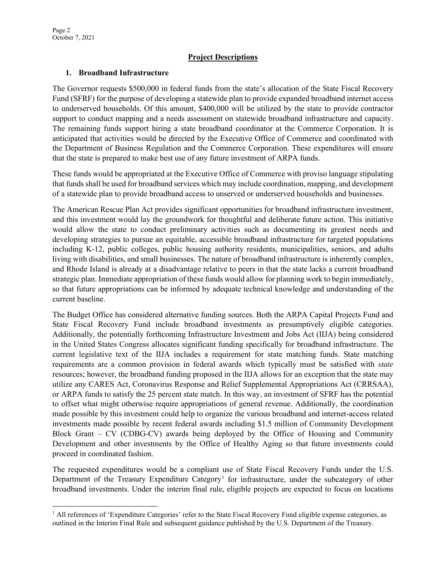#### **Project Descriptions**

#### **1. Broadband Infrastructure**

The Governor requests \$500,000 in federal funds from the state's allocation of the State Fiscal Recovery Fund (SFRF) for the purpose of developing a statewide plan to provide expanded broadband internet access to underserved households. Of this amount, \$400,000 will be utilized by the state to provide contractor support to conduct mapping and a needs assessment on statewide broadband infrastructure and capacity. The remaining funds support hiring a state broadband coordinator at the Commerce Corporation. It is anticipated that activities would be directed by the Executive Office of Commerce and coordinated with the Department of Business Regulation and the Commerce Corporation. These expenditures will ensure that the state is prepared to make best use of any future investment of ARPA funds.

These funds would be appropriated at the Executive Office of Commerce with proviso language stipulating that funds shall be used for broadband services which may include coordination, mapping, and development of a statewide plan to provide broadband access to unserved or underserved households and businesses.

The American Rescue Plan Act provides significant opportunities for broadband infrastructure investment, and this investment would lay the groundwork for thoughtful and deliberate future action. This initiative would allow the state to conduct preliminary activities such as documenting its greatest needs and developing strategies to pursue an equitable, accessible broadband infrastructure for targeted populations including K-12, public colleges, public housing authority residents, municipalities, seniors, and adults living with disabilities, and small businesses. The nature of broadband infrastructure is inherently complex, and Rhode Island is already at a disadvantage relative to peers in that the state lacks a current broadband strategic plan. Immediate appropriation of these funds would allow for planning work to begin immediately, so that future appropriations can be informed by adequate technical knowledge and understanding of the current baseline.

The Budget Office has considered alternative funding sources. Both the ARPA Capital Projects Fund and State Fiscal Recovery Fund include broadband investments as presumptively eligible categories. Additionally, the potentially forthcoming Infrastructure Investment and Jobs Act (IIJA) being considered in the United States Congress allocates significant funding specifically for broadband infrastructure. The current legislative text of the IIJA includes a requirement for state matching funds. State matching requirements are a common provision in federal awards which typically must be satisfied with *state* resources; however, the broadband funding proposed in the IIJA allows for an exception that the state may utilize any CARES Act, Coronavirus Response and Relief Supplemental Appropriations Act (CRRSAA), or ARPA funds to satisfy the 25 percent state match. In this way, an investment of SFRF has the potential to offset what might otherwise require appropriations of general revenue. Additionally, the coordination made possible by this investment could help to organize the various broadband and internet-access related investments made possible by recent federal awards including \$1.5 million of Community Development Block Grant – CV (CDBG-CV) awards being deployed by the Office of Housing and Community Development and other investments by the Office of Healthy Aging so that future investments could proceed in coordinated fashion.

The requested expenditures would be a compliant use of State Fiscal Recovery Funds under the U.S. Department of the Treasury Expenditure Category<sup>1</sup> for infrastructure, under the subcategory of other broadband investments. Under the interim final rule, eligible projects are expected to focus on locations

<span id="page-2-0"></span><sup>&</sup>lt;sup>1</sup> All references of 'Expenditure Categories' refer to the State Fiscal Recovery Fund eligible expense categories, as outlined in the Interim Final Rule and subsequent guidance published by the U.S. Department of the Treasury.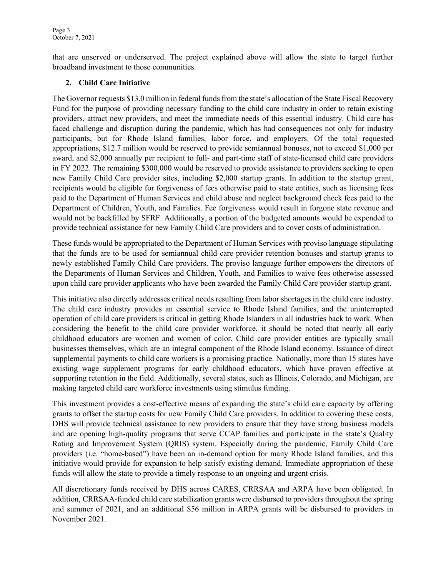that are unserved or underserved. The project explained above will allow the state to target further broadband investment to those communities.

### **2. Child Care Initiative**

The Governor requests \$13.0 million in federal funds from the state's allocation of the State Fiscal Recovery Fund for the purpose of providing necessary funding to the child care industry in order to retain existing providers, attract new providers, and meet the immediate needs of this essential industry. Child care has faced challenge and disruption during the pandemic, which has had consequences not only for industry participants, but for Rhode Island families, labor force, and employers. Of the total requested appropriations, \$12.7 million would be reserved to provide semiannual bonuses, not to exceed \$1,000 per award, and \$2,000 annually per recipient to full- and part-time staff of state-licensed child care providers in FY 2022. The remaining \$300,000 would be reserved to provide assistance to providers seeking to open new Family Child Care provider sites, including \$2,000 startup grants. In addition to the startup grant, recipients would be eligible for forgiveness of fees otherwise paid to state entities, such as licensing fees paid to the Department of Human Services and child abuse and neglect background check fees paid to the Department of Children, Youth, and Families. Fee forgiveness would result in forgone state revenue and would not be backfilled by SFRF. Additionally, a portion of the budgeted amounts would be expended to provide technical assistance for new Family Child Care providers and to cover costs of administration.

These funds would be appropriated to the Department of Human Services with proviso language stipulating that the funds are to be used for semiannual child care provider retention bonuses and startup grants to newly established Family Child Care providers. The proviso language further empowers the directors of the Departments of Human Services and Children, Youth, and Families to waive fees otherwise assessed upon child care provider applicants who have been awarded the Family Child Care provider startup grant.

This initiative also directly addresses critical needs resulting from labor shortages in the child care industry. The child care industry provides an essential service to Rhode Island families, and the uninterrupted operation of child care providers is critical in getting Rhode Islanders in all industries back to work. When considering the benefit to the child care provider workforce, it should be noted that nearly all early childhood educators are women and women of color. Child care provider entities are typically small businesses themselves, which are an integral component of the Rhode Island economy. Issuance of direct supplemental payments to child care workers is a promising practice. Nationally, more than 15 states have existing wage supplement programs for early childhood educators, which have proven effective at supporting retention in the field. Additionally, several states, such as Illinois, Colorado, and Michigan, are making targeted child care workforce investments using stimulus funding.

This investment provides a cost-effective means of expanding the state's child care capacity by offering grants to offset the startup costs for new Family Child Care providers. In addition to covering these costs, DHS will provide technical assistance to new providers to ensure that they have strong business models and are opening high-quality programs that serve CCAP families and participate in the state's Quality Rating and Improvement System (QRIS) system. Especially during the pandemic, Family Child Care providers (i.e. "home-based") have been an in-demand option for many Rhode Island families, and this initiative would provide for expansion to help satisfy existing demand. Immediate appropriation of these funds will allow the state to provide a timely response to an ongoing and urgent crisis.

All discretionary funds received by DHS across CARES, CRRSAA and ARPA have been obligated. In addition, CRRSAA-funded child care stabilization grants were disbursed to providers throughout the spring and summer of 2021, and an additional \$56 million in ARPA grants will be disbursed to providers in November 2021.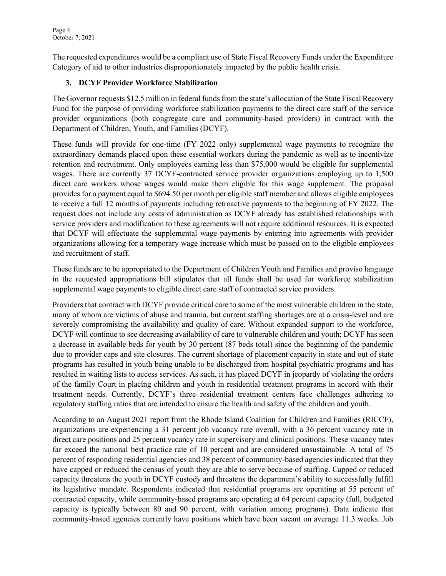The requested expenditures would be a compliant use of State Fiscal Recovery Funds under the Expenditure Category of aid to other industries disproportionately impacted by the public health crisis.

### **3. DCYF Provider Workforce Stabilization**

The Governor requests \$12.5 million in federal funds from the state's allocation of the State Fiscal Recovery Fund for the purpose of providing workforce stabilization payments to the direct care staff of the service provider organizations (both congregate care and community-based providers) in contract with the Department of Children, Youth, and Families (DCYF).

These funds will provide for one-time (FY 2022 only) supplemental wage payments to recognize the extraordinary demands placed upon these essential workers during the pandemic as well as to incentivize retention and recruitment. Only employees earning less than \$75,000 would be eligible for supplemental wages. There are currently 37 DCYF-contracted service provider organizations employing up to 1,500 direct care workers whose wages would make them eligible for this wage supplement. The proposal provides for a payment equal to \$694.50 per month per eligible staff member and allows eligible employees to receive a full 12 months of payments including retroactive payments to the beginning of FY 2022. The request does not include any costs of administration as DCYF already has established relationships with service providers and modification to these agreements will not require additional resources. It is expected that DCYF will effectuate the supplemental wage payments by entering into agreements with provider organizations allowing for a temporary wage increase which must be passed on to the eligible employees and recruitment of staff.

These funds are to be appropriated to the Department of Children Youth and Families and proviso language in the requested appropriations bill stipulates that all funds shall be used for workforce stabilization supplemental wage payments to eligible direct care staff of contracted service providers.

Providers that contract with DCYF provide critical care to some of the most vulnerable children in the state, many of whom are victims of abuse and trauma, but current staffing shortages are at a crisis-level and are severely compromising the availability and quality of care. Without expanded support to the workforce, DCYF will continue to see decreasing availability of care to vulnerable children and youth; DCYF has seen a decrease in available beds for youth by 30 percent (87 beds total) since the beginning of the pandemic due to provider caps and site closures. The current shortage of placement capacity in state and out of state programs has resulted in youth being unable to be discharged from hospital psychiatric programs and has resulted in waiting lists to access services. As such, it has placed DCYF in jeopardy of violating the orders of the family Court in placing children and youth in residential treatment programs in accord with their treatment needs. Currently, DCYF's three residential treatment centers face challenges adhering to regulatory staffing ratios that are intended to ensure the health and safety of the children and youth.

According to an August 2021 report from the Rhode Island Coalition for Children and Families (RICCF), organizations are experiencing a 31 percent job vacancy rate overall, with a 36 percent vacancy rate in direct care positions and 25 percent vacancy rate in supervisory and clinical positions. These vacancy rates far exceed the national best practice rate of 10 percent and are considered unsustainable. A total of 75 percent of responding residential agencies and 38 percent of community-based agencies indicated that they have capped or reduced the census of youth they are able to serve because of staffing. Capped or reduced capacity threatens the youth in DCYF custody and threatens the department's ability to successfully fulfill its legislative mandate. Respondents indicated that residential programs are operating at 55 percent of contracted capacity, while community-based programs are operating at 64 percent capacity (full, budgeted capacity is typically between 80 and 90 percent, with variation among programs). Data indicate that community-based agencies currently have positions which have been vacant on average 11.3 weeks. Job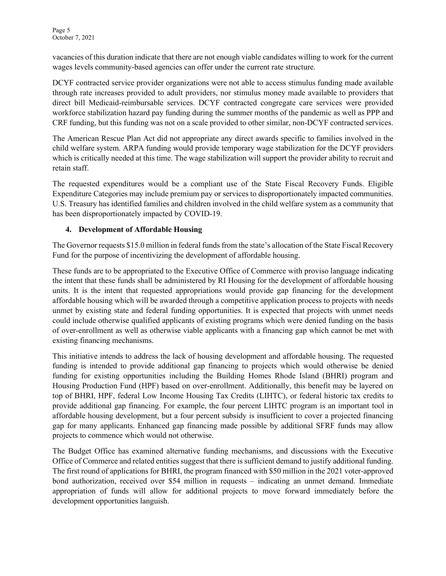vacancies of this duration indicate that there are not enough viable candidates willing to work for the current wages levels community-based agencies can offer under the current rate structure.

DCYF contracted service provider organizations were not able to access stimulus funding made available through rate increases provided to adult providers, nor stimulus money made available to providers that direct bill Medicaid-reimbursable services. DCYF contracted congregate care services were provided workforce stabilization hazard pay funding during the summer months of the pandemic as well as PPP and CRF funding, but this funding was not on a scale provided to other similar, non-DCYF contracted services.

The American Rescue Plan Act did not appropriate any direct awards specific to families involved in the child welfare system. ARPA funding would provide temporary wage stabilization for the DCYF providers which is critically needed at this time. The wage stabilization will support the provider ability to recruit and retain staff.

The requested expenditures would be a compliant use of the State Fiscal Recovery Funds. Eligible Expenditure Categories may include premium pay or services to disproportionately impacted communities. U.S. Treasury has identified families and children involved in the child welfare system as a community that has been disproportionately impacted by COVID-19.

### **4. Development of Affordable Housing**

The Governor requests \$15.0 million in federal funds from the state's allocation of the State Fiscal Recovery Fund for the purpose of incentivizing the development of affordable housing.

These funds are to be appropriated to the Executive Office of Commerce with proviso language indicating the intent that these funds shall be administered by RI Housing for the development of affordable housing units. It is the intent that requested appropriations would provide gap financing for the development affordable housing which will be awarded through a competitive application process to projects with needs unmet by existing state and federal funding opportunities. It is expected that projects with unmet needs could include otherwise qualified applicants of existing programs which were denied funding on the basis of over-enrollment as well as otherwise viable applicants with a financing gap which cannot be met with existing financing mechanisms.

This initiative intends to address the lack of housing development and affordable housing. The requested funding is intended to provide additional gap financing to projects which would otherwise be denied funding for existing opportunities including the Building Homes Rhode Island (BHRI) program and Housing Production Fund (HPF) based on over-enrollment. Additionally, this benefit may be layered on top of BHRI, HPF, federal Low Income Housing Tax Credits (LIHTC), or federal historic tax credits to provide additional gap financing. For example, the four percent LIHTC program is an important tool in affordable housing development, but a four percent subsidy is insufficient to cover a projected financing gap for many applicants. Enhanced gap financing made possible by additional SFRF funds may allow projects to commence which would not otherwise.

The Budget Office has examined alternative funding mechanisms, and discussions with the Executive Office of Commerce and related entities suggest that there is sufficient demand to justify additional funding. The first round of applications for BHRI, the program financed with \$50 million in the 2021 voter-approved bond authorization, received over \$54 million in requests – indicating an unmet demand. Immediate appropriation of funds will allow for additional projects to move forward immediately before the development opportunities languish.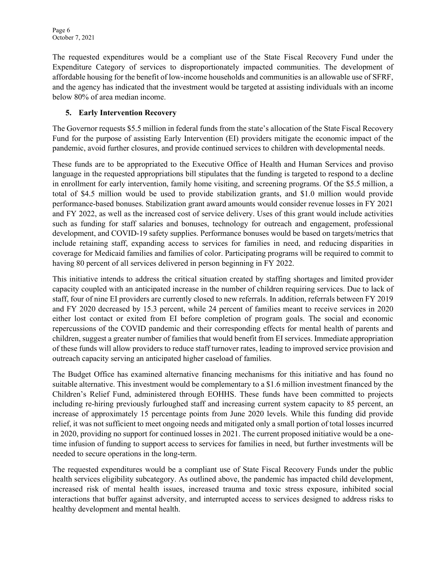The requested expenditures would be a compliant use of the State Fiscal Recovery Fund under the Expenditure Category of services to disproportionately impacted communities. The development of affordable housing for the benefit of low-income households and communities is an allowable use of SFRF, and the agency has indicated that the investment would be targeted at assisting individuals with an income below 80% of area median income.

### **5. Early Intervention Recovery**

The Governor requests \$5.5 million in federal funds from the state's allocation of the State Fiscal Recovery Fund for the purpose of assisting Early Intervention (EI) providers mitigate the economic impact of the pandemic, avoid further closures, and provide continued services to children with developmental needs.

These funds are to be appropriated to the Executive Office of Health and Human Services and proviso language in the requested appropriations bill stipulates that the funding is targeted to respond to a decline in enrollment for early intervention, family home visiting, and screening programs. Of the \$5.5 million, a total of \$4.5 million would be used to provide stabilization grants, and \$1.0 million would provide performance-based bonuses. Stabilization grant award amounts would consider revenue losses in FY 2021 and FY 2022, as well as the increased cost of service delivery. Uses of this grant would include activities such as funding for staff salaries and bonuses, technology for outreach and engagement, professional development, and COVID-19 safety supplies. Performance bonuses would be based on targets/metrics that include retaining staff, expanding access to services for families in need, and reducing disparities in coverage for Medicaid families and families of color. Participating programs will be required to commit to having 80 percent of all services delivered in person beginning in FY 2022.

This initiative intends to address the critical situation created by staffing shortages and limited provider capacity coupled with an anticipated increase in the number of children requiring services. Due to lack of staff, four of nine EI providers are currently closed to new referrals. In addition, referrals between FY 2019 and FY 2020 decreased by 15.3 percent, while 24 percent of families meant to receive services in 2020 either lost contact or exited from EI before completion of program goals. The social and economic repercussions of the COVID pandemic and their corresponding effects for mental health of parents and children, suggest a greater number of families that would benefit from EI services. Immediate appropriation of these funds will allow providers to reduce staff turnover rates, leading to improved service provision and outreach capacity serving an anticipated higher caseload of families.

The Budget Office has examined alternative financing mechanisms for this initiative and has found no suitable alternative. This investment would be complementary to a \$1.6 million investment financed by the Children's Relief Fund, administered through EOHHS. These funds have been committed to projects including re-hiring previously furloughed staff and increasing current system capacity to 85 percent, an increase of approximately 15 percentage points from June 2020 levels. While this funding did provide relief, it was not sufficient to meet ongoing needs and mitigated only a small portion of total losses incurred in 2020, providing no support for continued losses in 2021. The current proposed initiative would be a onetime infusion of funding to support access to services for families in need, but further investments will be needed to secure operations in the long-term.

The requested expenditures would be a compliant use of State Fiscal Recovery Funds under the public health services eligibility subcategory. As outlined above, the pandemic has impacted child development, increased risk of mental health issues, increased trauma and toxic stress exposure, inhibited social interactions that buffer against adversity, and interrupted access to services designed to address risks to healthy development and mental health.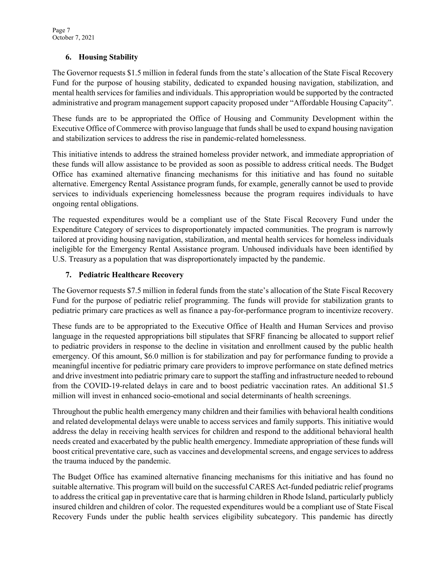#### **6. Housing Stability**

The Governor requests \$1.5 million in federal funds from the state's allocation of the State Fiscal Recovery Fund for the purpose of housing stability, dedicated to expanded housing navigation, stabilization, and mental health services for families and individuals. This appropriation would be supported by the contracted administrative and program management support capacity proposed under "Affordable Housing Capacity".

These funds are to be appropriated the Office of Housing and Community Development within the Executive Office of Commerce with proviso language that funds shall be used to expand housing navigation and stabilization services to address the rise in pandemic-related homelessness.

This initiative intends to address the strained homeless provider network, and immediate appropriation of these funds will allow assistance to be provided as soon as possible to address critical needs. The Budget Office has examined alternative financing mechanisms for this initiative and has found no suitable alternative. Emergency Rental Assistance program funds, for example, generally cannot be used to provide services to individuals experiencing homelessness because the program requires individuals to have ongoing rental obligations.

The requested expenditures would be a compliant use of the State Fiscal Recovery Fund under the Expenditure Category of services to disproportionately impacted communities. The program is narrowly tailored at providing housing navigation, stabilization, and mental health services for homeless individuals ineligible for the Emergency Rental Assistance program. Unhoused individuals have been identified by U.S. Treasury as a population that was disproportionately impacted by the pandemic.

#### **7. Pediatric Healthcare Recovery**

The Governor requests \$7.5 million in federal funds from the state's allocation of the State Fiscal Recovery Fund for the purpose of pediatric relief programming. The funds will provide for stabilization grants to pediatric primary care practices as well as finance a pay-for-performance program to incentivize recovery.

These funds are to be appropriated to the Executive Office of Health and Human Services and proviso language in the requested appropriations bill stipulates that SFRF financing be allocated to support relief to pediatric providers in response to the decline in visitation and enrollment caused by the public health emergency. Of this amount, \$6.0 million is for stabilization and pay for performance funding to provide a meaningful incentive for pediatric primary care providers to improve performance on state defined metrics and drive investment into pediatric primary care to support the staffing and infrastructure needed to rebound from the COVID-19-related delays in care and to boost pediatric vaccination rates. An additional \$1.5 million will invest in enhanced socio-emotional and social determinants of health screenings.

Throughout the public health emergency many children and their families with behavioral health conditions and related developmental delays were unable to access services and family supports. This initiative would address the delay in receiving health services for children and respond to the additional behavioral health needs created and exacerbated by the public health emergency. Immediate appropriation of these funds will boost critical preventative care, such as vaccines and developmental screens, and engage services to address the trauma induced by the pandemic.

The Budget Office has examined alternative financing mechanisms for this initiative and has found no suitable alternative. This program will build on the successful CARES Act-funded pediatric relief programs to address the critical gap in preventative care that is harming children in Rhode Island, particularly publicly insured children and children of color. The requested expenditures would be a compliant use of State Fiscal Recovery Funds under the public health services eligibility subcategory. This pandemic has directly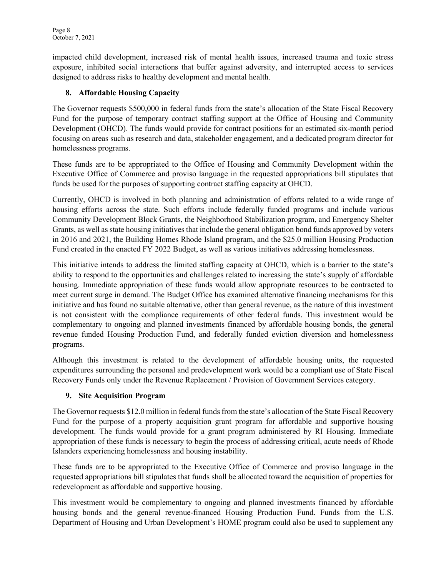impacted child development, increased risk of mental health issues, increased trauma and toxic stress exposure, inhibited social interactions that buffer against adversity, and interrupted access to services designed to address risks to healthy development and mental health.

## **8. Affordable Housing Capacity**

The Governor requests \$500,000 in federal funds from the state's allocation of the State Fiscal Recovery Fund for the purpose of temporary contract staffing support at the Office of Housing and Community Development (OHCD). The funds would provide for contract positions for an estimated six-month period focusing on areas such as research and data, stakeholder engagement, and a dedicated program director for homelessness programs.

These funds are to be appropriated to the Office of Housing and Community Development within the Executive Office of Commerce and proviso language in the requested appropriations bill stipulates that funds be used for the purposes of supporting contract staffing capacity at OHCD.

Currently, OHCD is involved in both planning and administration of efforts related to a wide range of housing efforts across the state. Such efforts include federally funded programs and include various Community Development Block Grants, the Neighborhood Stabilization program, and Emergency Shelter Grants, as well as state housing initiatives that include the general obligation bond funds approved by voters in 2016 and 2021, the Building Homes Rhode Island program, and the \$25.0 million Housing Production Fund created in the enacted FY 2022 Budget, as well as various initiatives addressing homelessness.

This initiative intends to address the limited staffing capacity at OHCD, which is a barrier to the state's ability to respond to the opportunities and challenges related to increasing the state's supply of affordable housing. Immediate appropriation of these funds would allow appropriate resources to be contracted to meet current surge in demand. The Budget Office has examined alternative financing mechanisms for this initiative and has found no suitable alternative, other than general revenue, as the nature of this investment is not consistent with the compliance requirements of other federal funds. This investment would be complementary to ongoing and planned investments financed by affordable housing bonds, the general revenue funded Housing Production Fund, and federally funded eviction diversion and homelessness programs.

Although this investment is related to the development of affordable housing units, the requested expenditures surrounding the personal and predevelopment work would be a compliant use of State Fiscal Recovery Funds only under the Revenue Replacement / Provision of Government Services category.

## **9. Site Acquisition Program**

The Governor requests \$12.0 million in federal funds from the state's allocation of the State Fiscal Recovery Fund for the purpose of a property acquisition grant program for affordable and supportive housing development. The funds would provide for a grant program administered by RI Housing. Immediate appropriation of these funds is necessary to begin the process of addressing critical, acute needs of Rhode Islanders experiencing homelessness and housing instability.

These funds are to be appropriated to the Executive Office of Commerce and proviso language in the requested appropriations bill stipulates that funds shall be allocated toward the acquisition of properties for redevelopment as affordable and supportive housing.

This investment would be complementary to ongoing and planned investments financed by affordable housing bonds and the general revenue-financed Housing Production Fund. Funds from the U.S. Department of Housing and Urban Development's HOME program could also be used to supplement any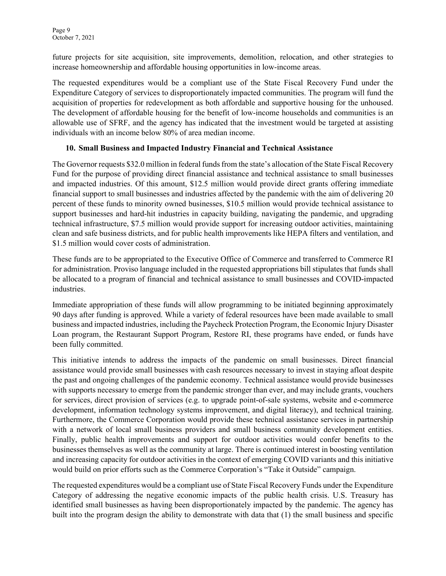future projects for site acquisition, site improvements, demolition, relocation, and other strategies to increase homeownership and affordable housing opportunities in low-income areas.

The requested expenditures would be a compliant use of the State Fiscal Recovery Fund under the Expenditure Category of services to disproportionately impacted communities. The program will fund the acquisition of properties for redevelopment as both affordable and supportive housing for the unhoused. The development of affordable housing for the benefit of low-income households and communities is an allowable use of SFRF, and the agency has indicated that the investment would be targeted at assisting individuals with an income below 80% of area median income.

#### **10. Small Business and Impacted Industry Financial and Technical Assistance**

The Governor requests \$32.0 million in federal funds from the state's allocation of the State Fiscal Recovery Fund for the purpose of providing direct financial assistance and technical assistance to small businesses and impacted industries. Of this amount, \$12.5 million would provide direct grants offering immediate financial support to small businesses and industries affected by the pandemic with the aim of delivering 20 percent of these funds to minority owned businesses, \$10.5 million would provide technical assistance to support businesses and hard-hit industries in capacity building, navigating the pandemic, and upgrading technical infrastructure, \$7.5 million would provide support for increasing outdoor activities, maintaining clean and safe business districts, and for public health improvements like HEPA filters and ventilation, and \$1.5 million would cover costs of administration.

These funds are to be appropriated to the Executive Office of Commerce and transferred to Commerce RI for administration. Proviso language included in the requested appropriations bill stipulates that funds shall be allocated to a program of financial and technical assistance to small businesses and COVID-impacted industries.

Immediate appropriation of these funds will allow programming to be initiated beginning approximately 90 days after funding is approved. While a variety of federal resources have been made available to small business and impacted industries, including the Paycheck Protection Program, the Economic Injury Disaster Loan program, the Restaurant Support Program, Restore RI, these programs have ended, or funds have been fully committed.

This initiative intends to address the impacts of the pandemic on small businesses. Direct financial assistance would provide small businesses with cash resources necessary to invest in staying afloat despite the past and ongoing challenges of the pandemic economy. Technical assistance would provide businesses with supports necessary to emerge from the pandemic stronger than ever, and may include grants, vouchers for services, direct provision of services (e.g. to upgrade point-of-sale systems, website and e-commerce development, information technology systems improvement, and digital literacy), and technical training. Furthermore, the Commerce Corporation would provide these technical assistance services in partnership with a network of local small business providers and small business community development entities. Finally, public health improvements and support for outdoor activities would confer benefits to the businesses themselves as well as the community at large. There is continued interest in boosting ventilation and increasing capacity for outdoor activities in the context of emerging COVID variants and this initiative would build on prior efforts such as the Commerce Corporation's "Take it Outside" campaign.

The requested expenditures would be a compliant use of State Fiscal Recovery Funds under the Expenditure Category of addressing the negative economic impacts of the public health crisis. U.S. Treasury has identified small businesses as having been disproportionately impacted by the pandemic. The agency has built into the program design the ability to demonstrate with data that (1) the small business and specific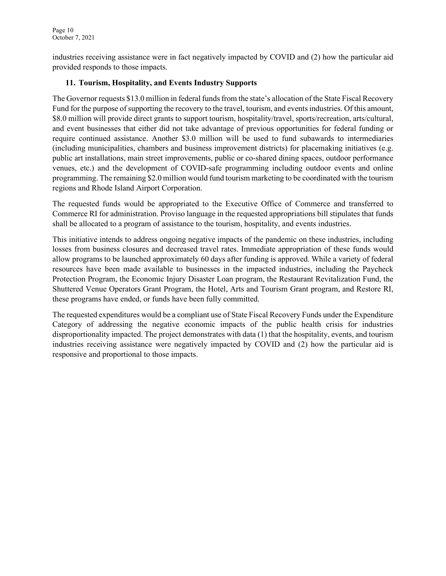industries receiving assistance were in fact negatively impacted by COVID and (2) how the particular aid provided responds to those impacts.

### **11. Tourism, Hospitality, and Events Industry Supports**

The Governor requests \$13.0 million in federal funds from the state's allocation of the State Fiscal Recovery Fund for the purpose of supporting the recovery to the travel, tourism, and events industries. Of this amount, \$8.0 million will provide direct grants to support tourism, hospitality/travel, sports/recreation, arts/cultural, and event businesses that either did not take advantage of previous opportunities for federal funding or require continued assistance. Another \$3.0 million will be used to fund subawards to intermediaries (including municipalities, chambers and business improvement districts) for placemaking initiatives (e.g. public art installations, main street improvements, public or co-shared dining spaces, outdoor performance venues, etc.) and the development of COVID-safe programming including outdoor events and online programming. The remaining \$2.0 million would fund tourism marketing to be coordinated with the tourism regions and Rhode Island Airport Corporation.

The requested funds would be appropriated to the Executive Office of Commerce and transferred to Commerce RI for administration. Proviso language in the requested appropriations bill stipulates that funds shall be allocated to a program of assistance to the tourism, hospitality, and events industries.

This initiative intends to address ongoing negative impacts of the pandemic on these industries, including losses from business closures and decreased travel rates. Immediate appropriation of these funds would allow programs to be launched approximately 60 days after funding is approved. While a variety of federal resources have been made available to businesses in the impacted industries, including the Paycheck Protection Program, the Economic Injury Disaster Loan program, the Restaurant Revitalization Fund, the Shuttered Venue Operators Grant Program, the Hotel, Arts and Tourism Grant program, and Restore RI, these programs have ended, or funds have been fully committed.

The requested expenditures would be a compliant use of State Fiscal Recovery Funds under the Expenditure Category of addressing the negative economic impacts of the public health crisis for industries disproportionality impacted. The project demonstrates with data (1) that the hospitality, events, and tourism industries receiving assistance were negatively impacted by COVID and (2) how the particular aid is responsive and proportional to those impacts.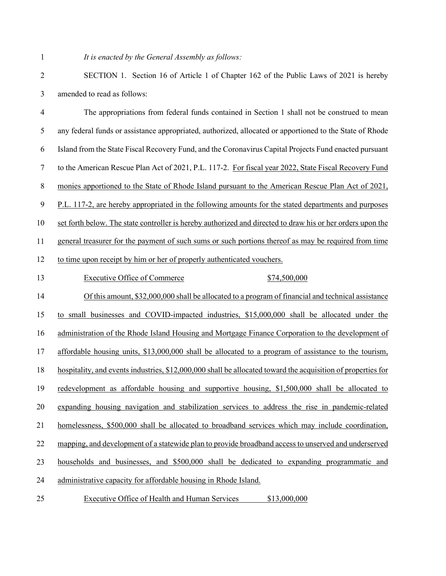## *It is enacted by the General Assembly as follows:*

| $\overline{2}$   | SECTION 1. Section 16 of Article 1 of Chapter 162 of the Public Laws of 2021 is hereby                       |
|------------------|--------------------------------------------------------------------------------------------------------------|
| 3                | amended to read as follows:                                                                                  |
| 4                | The appropriations from federal funds contained in Section 1 shall not be construed to mean                  |
| 5                | any federal funds or assistance appropriated, authorized, allocated or apportioned to the State of Rhode     |
| 6                | Island from the State Fiscal Recovery Fund, and the Coronavirus Capital Projects Fund enacted pursuant       |
| $\tau$           | to the American Rescue Plan Act of 2021, P.L. 117-2. For fiscal year 2022, State Fiscal Recovery Fund        |
| $\,8\,$          | monies apportioned to the State of Rhode Island pursuant to the American Rescue Plan Act of 2021,            |
| $\boldsymbol{9}$ | P.L. 117-2, are hereby appropriated in the following amounts for the stated departments and purposes         |
| 10               | set forth below. The state controller is hereby authorized and directed to draw his or her orders upon the   |
| 11               | general treasurer for the payment of such sums or such portions thereof as may be required from time         |
| 12               | to time upon receipt by him or her of properly authenticated vouchers.                                       |
| 13               | <b>Executive Office of Commerce</b><br>\$74,500,000                                                          |
| 14               | Of this amount, \$32,000,000 shall be allocated to a program of financial and technical assistance           |
| 15               | to small businesses and COVID-impacted industries, \$15,000,000 shall be allocated under the                 |
| 16               | administration of the Rhode Island Housing and Mortgage Finance Corporation to the development of            |
| 17               | affordable housing units, \$13,000,000 shall be allocated to a program of assistance to the tourism,         |
| 18               | hospitality, and events industries, \$12,000,000 shall be allocated toward the acquisition of properties for |
| 19               | redevelopment as affordable housing and supportive housing, \$1,500,000 shall be allocated to                |
| 20               | expanding housing navigation and stabilization services to address the rise in pandemic-related              |
| 21               | homelessness, \$500,000 shall be allocated to broadband services which may include coordination,             |
| 22               | mapping, and development of a statewide plan to provide broadband access to unserved and underserved         |
| 23               | households and businesses, and \$500,000 shall be dedicated to expanding programmatic and                    |
| 24               | administrative capacity for affordable housing in Rhode Island.                                              |
|                  |                                                                                                              |